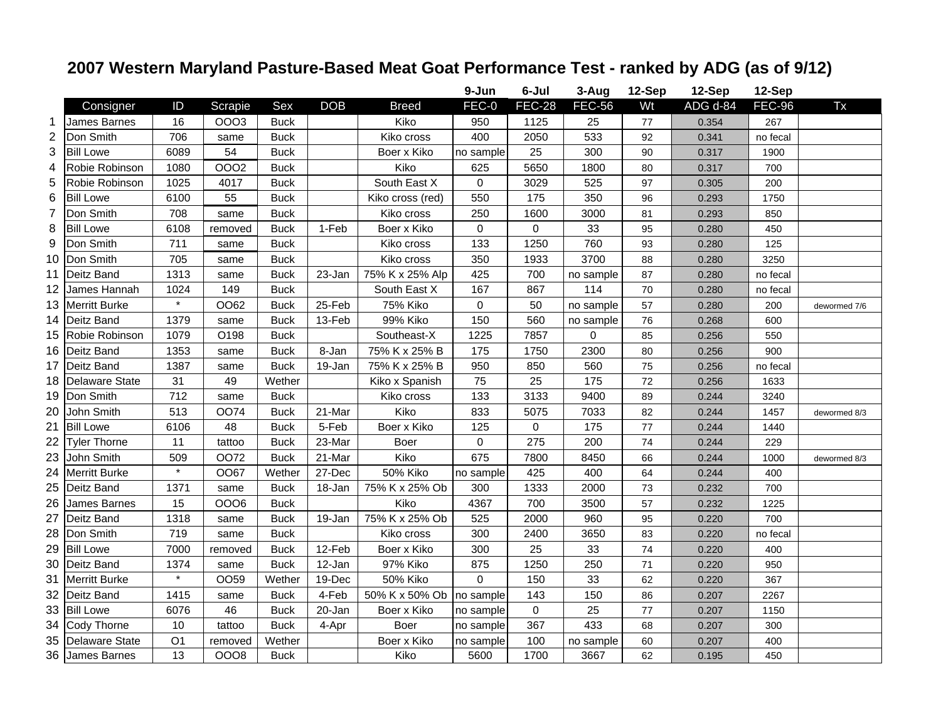## **2007 Western Maryland Pasture-Based Meat Goat Performance Test - ranked by ADG (as of 9/12)**

|                |                       |                |                  |             |            |                  | 9-Jun               | 6-Jul               | 3-Aug         | 12-Sep | 12-Sep                | 12-Sep        |              |
|----------------|-----------------------|----------------|------------------|-------------|------------|------------------|---------------------|---------------------|---------------|--------|-----------------------|---------------|--------------|
|                | Consigner             | ID             | Scrapie          | Sex         | <b>DOB</b> | <b>Breed</b>     | FEC-0               | <b>FEC-28</b>       | <b>FEC-56</b> | Wt     | $ADG$ <sub>d-84</sub> | <b>FEC-96</b> | Tx           |
| 1              | <b>James Barnes</b>   | 16             | <b>OOO3</b>      | <b>Buck</b> |            | Kiko             | 950                 | 1125                | 25            | $77$   | 0.354                 | 267           |              |
| $\overline{2}$ | Don Smith             | 706            | same             | <b>Buck</b> |            | Kiko cross       | 400                 | 2050                | 533           | 92     | 0.341                 | no fecal      |              |
| 3              | <b>Bill Lowe</b>      | 6089           | 54               | <b>Buck</b> |            | Boer x Kiko      | no sample           | 25                  | 300           | 90     | 0.317                 | 1900          |              |
| 4              | Robie Robinson        | 1080           | <b>OOO2</b>      | <b>Buck</b> |            | Kiko             | 625                 | 5650                | 1800          | 80     | 0.317                 | 700           |              |
| 5              | Robie Robinson        | 1025           | 4017             | <b>Buck</b> |            | South East X     | $\mathbf 0$         | 3029                | 525           | 97     | 0.305                 | 200           |              |
| 6              | <b>Bill Lowe</b>      | 6100           | 55               | <b>Buck</b> |            | Kiko cross (red) | 550                 | 175                 | 350           | 96     | 0.293                 | 1750          |              |
| 7              | Don Smith             | 708            | same             | <b>Buck</b> |            | Kiko cross       | 250                 | 1600                | 3000          | 81     | 0.293                 | 850           |              |
| 8              | <b>Bill Lowe</b>      | 6108           | removed          | <b>Buck</b> | 1-Feb      | Boer x Kiko      | $\mathsf 0$         | 0                   | 33            | 95     | 0.280                 | 450           |              |
| 9              | Don Smith             | 711            | same             | <b>Buck</b> |            | Kiko cross       | 133                 | 1250                | 760           | 93     | 0.280                 | 125           |              |
| 10             | Don Smith             | 705            | same             | <b>Buck</b> |            | Kiko cross       | 350                 | 1933                | 3700          | 88     | 0.280                 | 3250          |              |
| 11             | Deitz Band            | 1313           | same             | <b>Buck</b> | 23-Jan     | 75% K x 25% Alp  | 425                 | 700                 | no sample     | 87     | 0.280                 | no fecal      |              |
| 12             | James Hannah          | 1024           | 149              | <b>Buck</b> |            | South East X     | 167                 | 867                 | 114           | 70     | 0.280                 | no fecal      |              |
| 13             | <b>Merritt Burke</b>  | $\star$        | OO62             | <b>Buck</b> | 25-Feb     | 75% Kiko         | $\mathsf{O}\xspace$ | 50                  | no sample     | 57     | 0.280                 | 200           | dewormed 7/6 |
| 14             | Deitz Band            | 1379           | same             | <b>Buck</b> | 13-Feb     | 99% Kiko         | 150                 | 560                 | no sample     | 76     | 0.268                 | 600           |              |
| 15             | Robie Robinson        | 1079           | O198             | <b>Buck</b> |            | Southeast-X      | 1225                | 7857                | 0             | 85     | 0.256                 | 550           |              |
| 16             | Deitz Band            | 1353           | same             | <b>Buck</b> | 8-Jan      | 75% K x 25% B    | 175                 | 1750                | 2300          | 80     | 0.256                 | 900           |              |
| 17             | Deitz Band            | 1387           | same             | <b>Buck</b> | 19-Jan     | 75% K x 25% B    | 950                 | 850                 | 560           | 75     | 0.256                 | no fecal      |              |
| 18             | <b>Delaware State</b> | 31             | 49               | Wether      |            | Kiko x Spanish   | 75                  | 25                  | 175           | 72     | 0.256                 | 1633          |              |
| 19             | Don Smith             | 712            | same             | <b>Buck</b> |            | Kiko cross       | 133                 | 3133                | 9400          | 89     | 0.244                 | 3240          |              |
| 20             | John Smith            | 513            | <b>OO74</b>      | <b>Buck</b> | 21-Mar     | Kiko             | 833                 | 5075                | 7033          | 82     | 0.244                 | 1457          | dewormed 8/3 |
| 21             | <b>Bill Lowe</b>      | 6106           | 48               | <b>Buck</b> | 5-Feb      | Boer x Kiko      | 125                 | 0                   | 175           | 77     | 0.244                 | 1440          |              |
| 22             | <b>Tyler Thorne</b>   | 11             | tattoo           | <b>Buck</b> | 23-Mar     | Boer             | $\mathbf 0$         | 275                 | 200           | 74     | 0.244                 | 229           |              |
| 23             | John Smith            | 509            | <b>OO72</b>      | <b>Buck</b> | 21-Mar     | Kiko             | 675                 | 7800                | 8450          | 66     | 0.244                 | 1000          | dewormed 8/3 |
| 24             | <b>Merritt Burke</b>  | $\star$        | OO67             | Wether      | 27-Dec     | 50% Kiko         | no sample           | 425                 | 400           | 64     | 0.244                 | 400           |              |
| 25             | Deitz Band            | 1371           | same             | <b>Buck</b> | 18-Jan     | 75% K x 25% Ob   | 300                 | 1333                | 2000          | 73     | 0.232                 | 700           |              |
| 26             | James Barnes          | 15             | 0006             | <b>Buck</b> |            | Kiko             | 4367                | 700                 | 3500          | 57     | 0.232                 | 1225          |              |
| 27             | Deitz Band            | 1318           | same             | <b>Buck</b> | 19-Jan     | 75% K x 25% Ob   | 525                 | 2000                | 960           | 95     | 0.220                 | 700           |              |
| 28             | Don Smith             | 719            | same             | <b>Buck</b> |            | Kiko cross       | 300                 | 2400                | 3650          | 83     | 0.220                 | no fecal      |              |
| 29             | <b>Bill Lowe</b>      | 7000           | removed          | <b>Buck</b> | 12-Feb     | Boer x Kiko      | 300                 | 25                  | 33            | 74     | 0.220                 | 400           |              |
| 30             | Deitz Band            | 1374           | same             | <b>Buck</b> | 12-Jan     | 97% Kiko         | 875                 | 1250                | 250           | 71     | 0.220                 | 950           |              |
| 31             | <b>Merritt Burke</b>  | $\star$        | OO <sub>59</sub> | Wether      | 19-Dec     | <b>50% Kiko</b>  | $\Omega$            | 150                 | 33            | 62     | 0.220                 | 367           |              |
| 32             | Deitz Band            | 1415           | same             | <b>Buck</b> | 4-Feb      | 50% K x 50% Ob   | no sample           | 143                 | 150           | 86     | 0.207                 | 2267          |              |
| 33             | <b>Bill Lowe</b>      | 6076           | 46               | <b>Buck</b> | 20-Jan     | Boer x Kiko      | no sample           | $\mathsf{O}\xspace$ | 25            | 77     | 0.207                 | 1150          |              |
| 34             | Cody Thorne           | 10             | tattoo           | <b>Buck</b> | 4-Apr      | Boer             | no sample           | 367                 | 433           | 68     | 0.207                 | 300           |              |
| 35             | <b>Delaware State</b> | O <sub>1</sub> | removed          | Wether      |            | Boer x Kiko      | no sample           | 100                 | no sample     | 60     | 0.207                 | 400           |              |
|                | 36 James Barnes       | 13             | <b>OOO8</b>      | <b>Buck</b> |            | Kiko             | 5600                | 1700                | 3667          | 62     | 0.195                 | 450           |              |